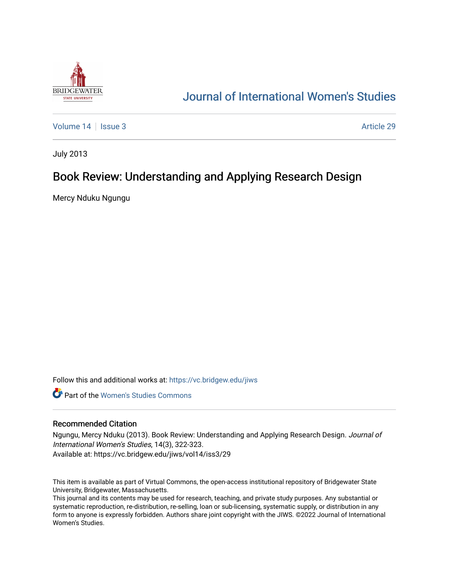

# [Journal of International Women's Studies](https://vc.bridgew.edu/jiws)

[Volume 14](https://vc.bridgew.edu/jiws/vol14) Sexue 3 Article 29

July 2013

## Book Review: Understanding and Applying Research Design

Mercy Nduku Ngungu

Follow this and additional works at: [https://vc.bridgew.edu/jiws](https://vc.bridgew.edu/jiws?utm_source=vc.bridgew.edu%2Fjiws%2Fvol14%2Fiss3%2F29&utm_medium=PDF&utm_campaign=PDFCoverPages)

**C** Part of the Women's Studies Commons

### Recommended Citation

Ngungu, Mercy Nduku (2013). Book Review: Understanding and Applying Research Design. Journal of International Women's Studies, 14(3), 322-323. Available at: https://vc.bridgew.edu/jiws/vol14/iss3/29

This item is available as part of Virtual Commons, the open-access institutional repository of Bridgewater State University, Bridgewater, Massachusetts.

This journal and its contents may be used for research, teaching, and private study purposes. Any substantial or systematic reproduction, re-distribution, re-selling, loan or sub-licensing, systematic supply, or distribution in any form to anyone is expressly forbidden. Authors share joint copyright with the JIWS. ©2022 Journal of International Women's Studies.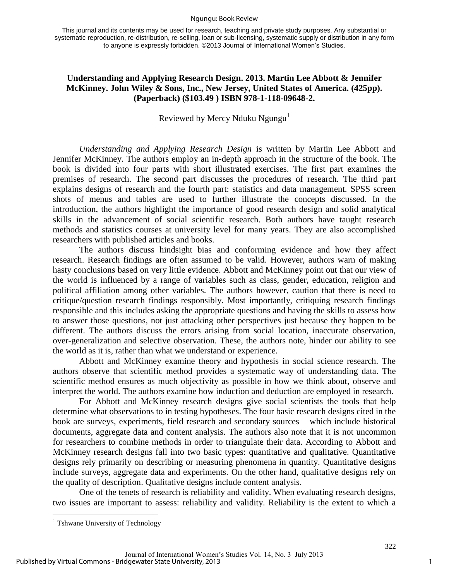#### Ngungu: Book Review

This journal and its contents may be used for research, teaching and private study purposes. Any substantial or systematic reproduction, re-distribution, re-selling, loan or sub-licensing, systematic supply or distribution in any form to anyone is expressly forbidden. ©2013 Journal of International Women's Studies.

### **Understanding and Applying Research Design. 2013. Martin Lee Abbott & Jennifer McKinney. John Wiley & Sons, Inc., New Jersey, United States of America. (425pp). (Paperback) (\$103.49 ) ISBN 978-1-118-09648-2.**

Reviewed by Mercy Nduku Ngungu $<sup>1</sup>$ </sup>

*Understanding and Applying Research Design* is written by Martin Lee Abbott and Jennifer McKinney. The authors employ an in-depth approach in the structure of the book. The book is divided into four parts with short illustrated exercises. The first part examines the premises of research. The second part discusses the procedures of research. The third part explains designs of research and the fourth part: statistics and data management. SPSS screen shots of menus and tables are used to further illustrate the concepts discussed. In the introduction, the authors highlight the importance of good research design and solid analytical skills in the advancement of social scientific research. Both authors have taught research methods and statistics courses at university level for many years. They are also accomplished researchers with published articles and books.

The authors discuss hindsight bias and conforming evidence and how they affect research. Research findings are often assumed to be valid. However, authors warn of making hasty conclusions based on very little evidence. Abbott and McKinney point out that our view of the world is influenced by a range of variables such as class, gender, education, religion and political affiliation among other variables. The authors however, caution that there is need to critique/question research findings responsibly. Most importantly, critiquing research findings responsible and this includes asking the appropriate questions and having the skills to assess how to answer those questions, not just attacking other perspectives just because they happen to be different. The authors discuss the errors arising from social location, inaccurate observation, over-generalization and selective observation. These, the authors note, hinder our ability to see the world as it is, rather than what we understand or experience.

Abbott and McKinney examine theory and hypothesis in social science research. The authors observe that scientific method provides a systematic way of understanding data. The scientific method ensures as much objectivity as possible in how we think about, observe and interpret the world. The authors examine how induction and deduction are employed in research.

For Abbott and McKinney research designs give social scientists the tools that help determine what observations to in testing hypotheses. The four basic research designs cited in the book are surveys, experiments, field research and secondary sources – which include historical documents, aggregate data and content analysis. The authors also note that it is not uncommon for researchers to combine methods in order to triangulate their data. According to Abbott and McKinney research designs fall into two basic types: quantitative and qualitative. Quantitative designs rely primarily on describing or measuring phenomena in quantity. Quantitative designs include surveys, aggregate data and experiments. On the other hand, qualitative designs rely on the quality of description. Qualitative designs include content analysis.

One of the tenets of research is reliability and validity. When evaluating research designs, two issues are important to assess: reliability and validity. Reliability is the extent to which a

 $\overline{\phantom{a}}$ 

<sup>&</sup>lt;sup>1</sup> Tshwane University of Technology